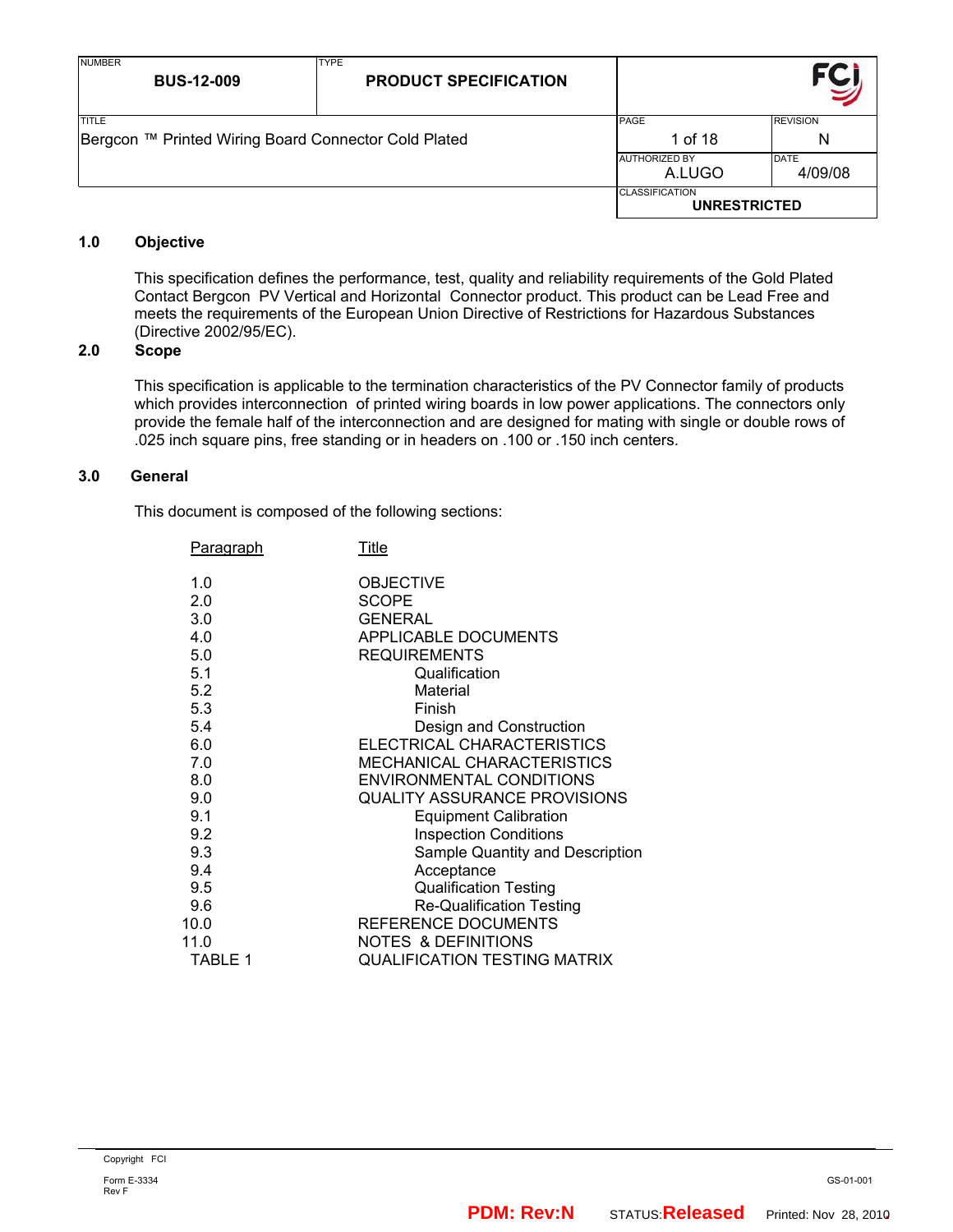| <b>NUMBER</b><br><b>BUS-12-009</b>                   | <b>TYPE</b><br><b>PRODUCT SPECIFICATION</b> |                                              |                 |
|------------------------------------------------------|---------------------------------------------|----------------------------------------------|-----------------|
| <b>TITLE</b>                                         |                                             | <b>PAGE</b>                                  | <b>REVISION</b> |
| Bergcon ™ Printed Wiring Board Connector Cold Plated |                                             | 1 of 18                                      | N               |
|                                                      |                                             | <b>AUTHORIZED BY</b>                         | DATE            |
|                                                      |                                             | A.LUGO                                       | 4/09/08         |
|                                                      |                                             | <b>CLASSIFICATION</b><br><b>UNRESTRICTED</b> |                 |

## **1.0 Objective**

This specification defines the performance, test, quality and reliability requirements of the Gold Plated Contact Bergcon PV Vertical and Horizontal Connector product. This product can be Lead Free and meets the requirements of the European Union Directive of Restrictions for Hazardous Substances (Directive 2002/95/EC).

## **2.0 Scope**

This specification is applicable to the termination characteristics of the PV Connector family of products which provides interconnection of printed wiring boards in low power applications. The connectors only provide the female half of the interconnection and are designed for mating with single or double rows of .025 inch square pins, free standing or in headers on .100 or .150 inch centers.

## **3.0 General**

This document is composed of the following sections:

| <b>Paragraph</b>                                                                               | Title                                                                                                                                                                                                                                                                                                                                                   |
|------------------------------------------------------------------------------------------------|---------------------------------------------------------------------------------------------------------------------------------------------------------------------------------------------------------------------------------------------------------------------------------------------------------------------------------------------------------|
| 1.0<br>2.0<br>3.0<br>4.0<br>5.0<br>5.1<br>5.2<br>5.3<br>5.4<br>6.0<br>7.0<br>8.0<br>9.0<br>9.1 | <b>OBJECTIVE</b><br><b>SCOPE</b><br><b>GENERAL</b><br><b>APPLICABLE DOCUMENTS</b><br><b>REQUIREMENTS</b><br>Qualification<br>Material<br>Finish<br>Design and Construction<br>ELECTRICAL CHARACTERISTICS<br><b>MECHANICAL CHARACTERISTICS</b><br><b>ENVIRONMENTAL CONDITIONS</b><br><b>QUALITY ASSURANCE PROVISIONS</b><br><b>Equipment Calibration</b> |
| 9.2<br>9.3<br>9.4<br>9.5<br>9.6<br>10.0<br>11.0<br>TABLE 1                                     | <b>Inspection Conditions</b><br>Sample Quantity and Description<br>Acceptance<br><b>Qualification Testing</b><br><b>Re-Qualification Testing</b><br>REFERENCE DOCUMENTS<br>NOTES & DEFINITIONS<br><b>QUALIFICATION TESTING MATRIX</b>                                                                                                                   |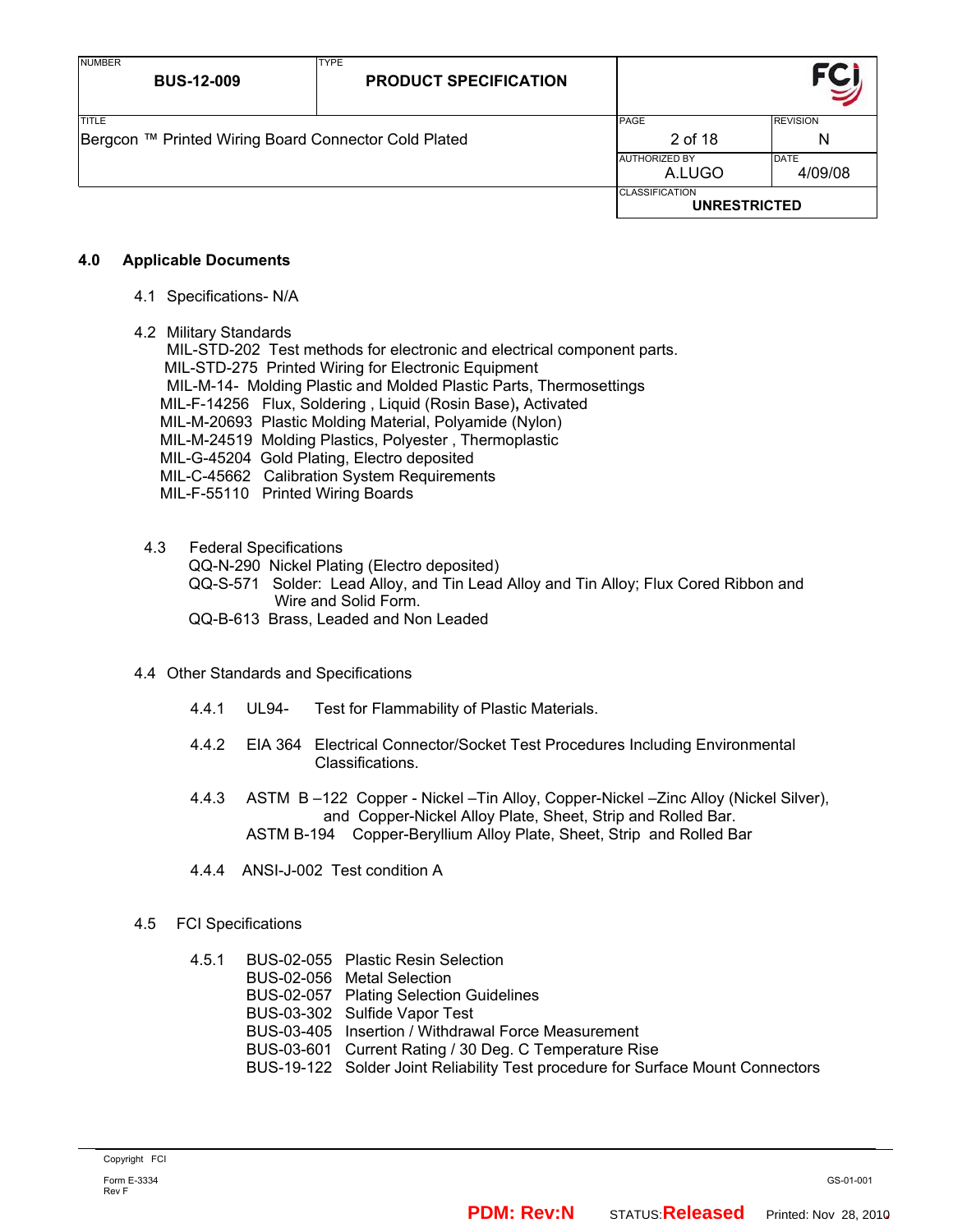| <b>NUMBER</b><br><b>BUS-12-009</b>                   | <b>TYPE</b><br><b>PRODUCT SPECIFICATION</b> |                                              |                 |
|------------------------------------------------------|---------------------------------------------|----------------------------------------------|-----------------|
| <b>TITLE</b>                                         |                                             | <b>PAGE</b>                                  | <b>REVISION</b> |
| Bergcon ™ Printed Wiring Board Connector Cold Plated |                                             | 2 of 18                                      | N               |
|                                                      |                                             | <b>AUTHORIZED BY</b>                         | <b>DATE</b>     |
|                                                      |                                             | A.LUGO                                       | 4/09/08         |
|                                                      |                                             | <b>CLASSIFICATION</b><br><b>UNRESTRICTED</b> |                 |

#### **4.0 Applicable Documents**

- 4.1 Specifications- N/A
- 4.2 Military Standards

MIL-STD-202 Test methods for electronic and electrical component parts. MIL-STD-275 Printed Wiring for Electronic Equipment MIL-M-14- Molding Plastic and Molded Plastic Parts, Thermosettings MIL-F-14256 Flux, Soldering , Liquid (Rosin Base)**,** Activated MIL-M-20693 Plastic Molding Material, Polyamide (Nylon) MIL-M-24519 Molding Plastics, Polyester , Thermoplastic MIL-G-45204 Gold Plating, Electro deposited MIL-C-45662 Calibration System Requirements MIL-F-55110 Printed Wiring Boards

#### 4.3 Federal Specifications

QQ-N-290 Nickel Plating (Electro deposited)

QQ-S-571 Solder: Lead Alloy, and Tin Lead Alloy and Tin Alloy; Flux Cored Ribbon and Wire and Solid Form.

QQ-B-613 Brass, Leaded and Non Leaded

#### 4.4 Other Standards and Specifications

- 4.4.1 UL94- Test for Flammability of Plastic Materials.
- 4.4.2 EIA 364 Electrical Connector/Socket Test Procedures Including Environmental Classifications.
- 4.4.3 ASTM B –122 Copper Nickel –Tin Alloy, Copper-Nickel –Zinc Alloy (Nickel Silver), and Copper-Nickel Alloy Plate, Sheet, Strip and Rolled Bar. ASTM B-194 Copper-Beryllium Alloy Plate, Sheet, Strip and Rolled Bar
- 4.4.4 ANSI-J-002 Test condition A

#### 4.5 FCI Specifications

4.5.1 BUS-02-055 Plastic Resin Selection BUS-02-056 Metal Selection BUS-02-057 Plating Selection Guidelines BUS-03-302 Sulfide Vapor Test BUS-03-405 Insertion / Withdrawal Force Measurement BUS-03-601 Current Rating / 30 Deg. C Temperature Rise BUS-19-122 Solder Joint Reliability Test procedure for Surface Mount Connectors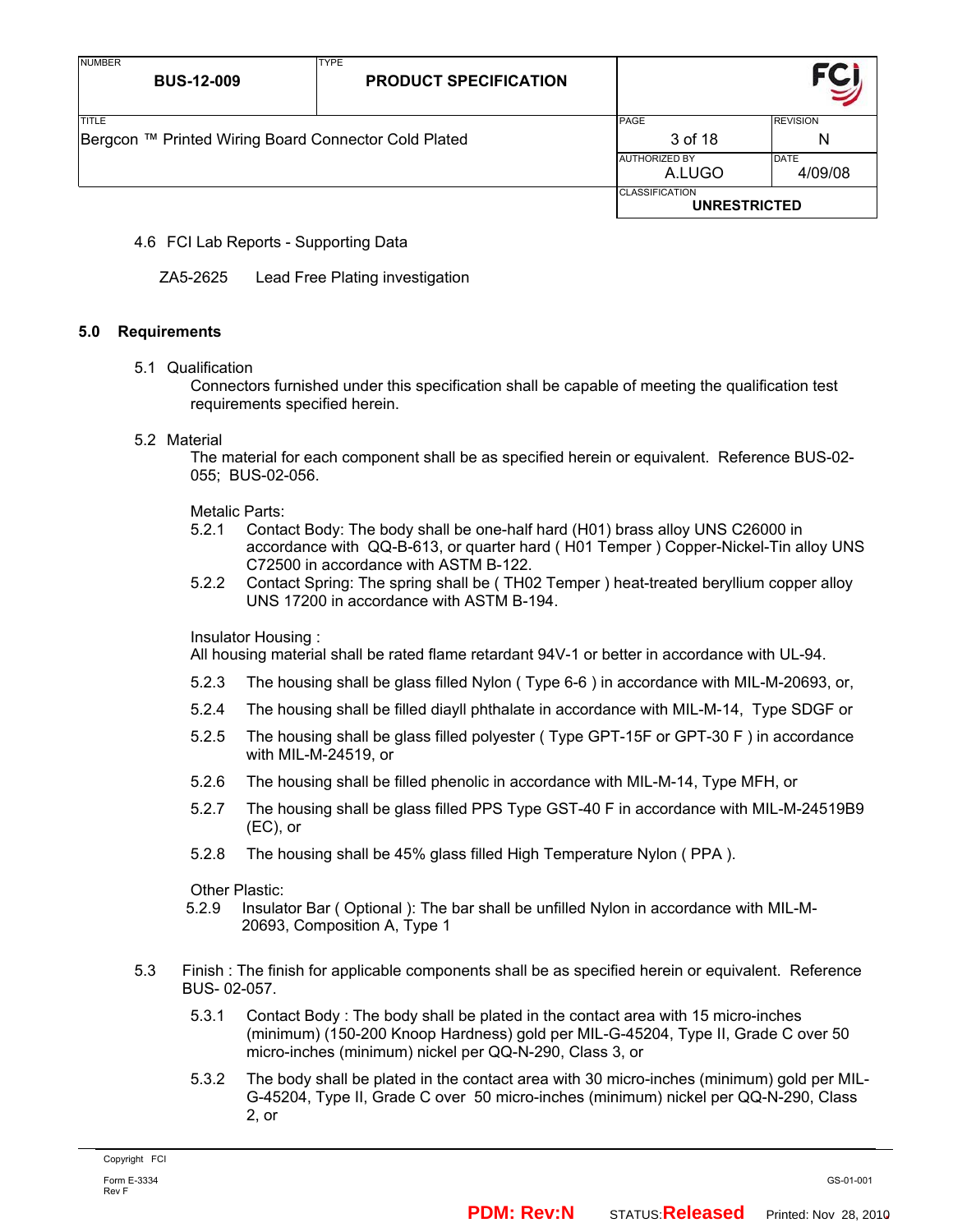| <b>NUMBER</b><br><b>BUS-12-009</b>                   | <b>TYPE</b><br><b>PRODUCT SPECIFICATION</b> |                                              |                 |
|------------------------------------------------------|---------------------------------------------|----------------------------------------------|-----------------|
| <b>TITLE</b>                                         |                                             | PAGE                                         | <b>REVISION</b> |
| Bergcon ™ Printed Wiring Board Connector Cold Plated |                                             | 3 of 18                                      | N               |
|                                                      |                                             | <b>JAUTHORIZED BY</b>                        | <b>DATE</b>     |
|                                                      |                                             | A.LUGO                                       | 4/09/08         |
|                                                      |                                             | <b>CLASSIFICATION</b><br><b>UNRESTRICTED</b> |                 |

## 4.6 FCI Lab Reports - Supporting Data

ZA5-2625 Lead Free Plating investigation

#### **5.0 Requirements**

#### 5.1 Qualification

Connectors furnished under this specification shall be capable of meeting the qualification test requirements specified herein.

#### 5.2 Material

The material for each component shall be as specified herein or equivalent. Reference BUS-02- 055; BUS-02-056.

#### Metalic Parts:

- 5.2.1 Contact Body: The body shall be one-half hard (H01) brass alloy UNS C26000 in accordance with QQ-B-613, or quarter hard ( H01 Temper ) Copper-Nickel-Tin alloy UNS C72500 in accordance with ASTM B-122.
- 5.2.2 Contact Spring: The spring shall be ( TH02 Temper ) heat-treated beryllium copper alloy UNS 17200 in accordance with ASTM B-194.

Insulator Housing :

All housing material shall be rated flame retardant 94V-1 or better in accordance with UL-94.

- 5.2.3 The housing shall be glass filled Nylon ( Type 6-6 ) in accordance with MIL-M-20693, or,
- 5.2.4 The housing shall be filled diayll phthalate in accordance with MIL-M-14, Type SDGF or
- 5.2.5 The housing shall be glass filled polyester ( Type GPT-15F or GPT-30 F ) in accordance with MIL-M-24519, or
- 5.2.6 The housing shall be filled phenolic in accordance with MIL-M-14, Type MFH, or
- 5.2.7 The housing shall be glass filled PPS Type GST-40 F in accordance with MIL-M-24519B9 (EC), or
- 5.2.8 The housing shall be 45% glass filled High Temperature Nylon ( PPA ).

Other Plastic:

- 5.2.9 Insulator Bar ( Optional ): The bar shall be unfilled Nylon in accordance with MIL-M- 20693, Composition A, Type 1
- 5.3 Finish : The finish for applicable components shall be as specified herein or equivalent. Reference BUS- 02-057.
	- 5.3.1 Contact Body : The body shall be plated in the contact area with 15 micro-inches (minimum) (150-200 Knoop Hardness) gold per MIL-G-45204, Type II, Grade C over 50 micro-inches (minimum) nickel per QQ-N-290, Class 3, or
	- 5.3.2 The body shall be plated in the contact area with 30 micro-inches (minimum) gold per MIL-G-45204, Type II, Grade C over 50 micro-inches (minimum) nickel per QQ-N-290, Class 2, or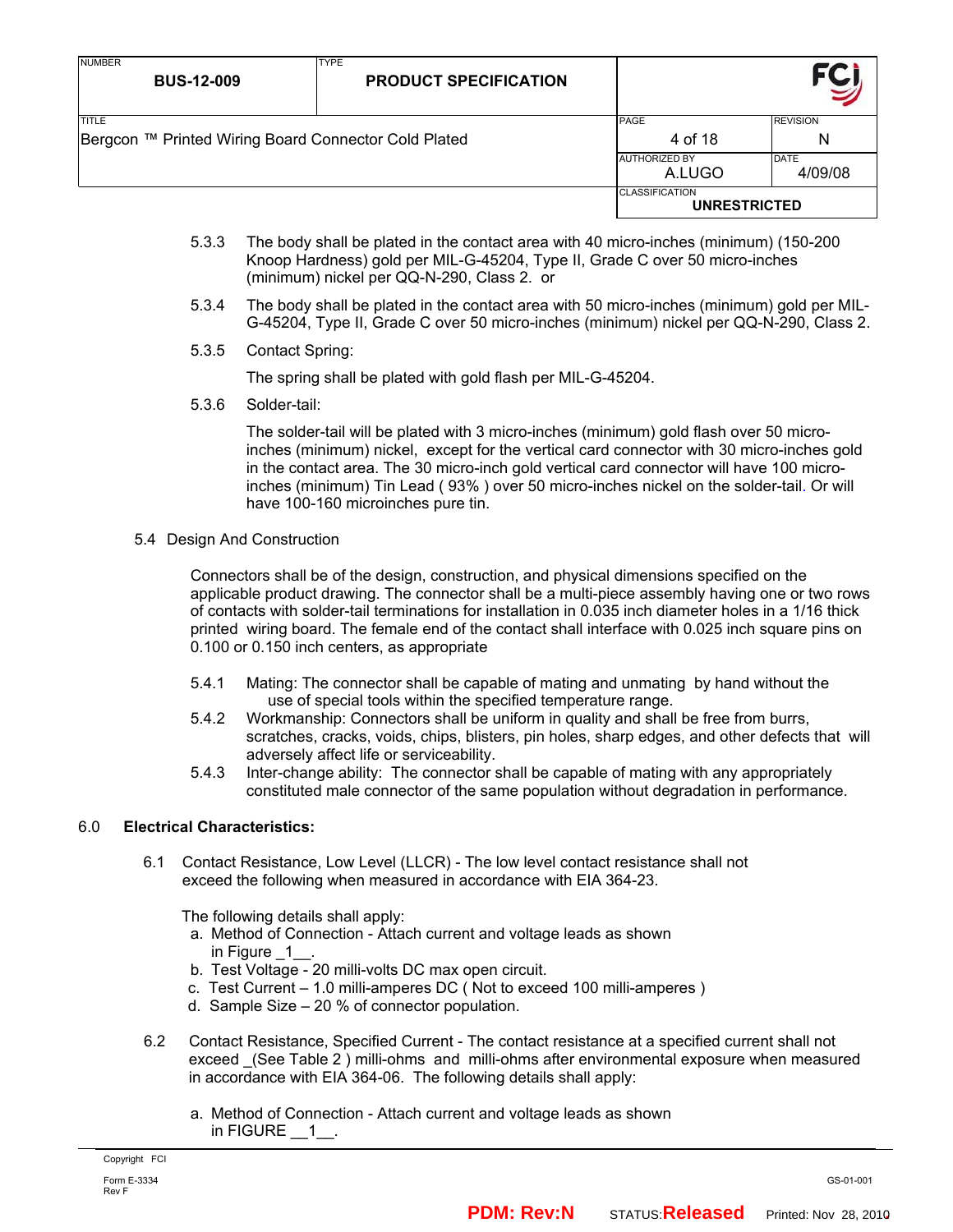| <b>NUMBER</b><br><b>BUS-12-009</b>                   | <b>TYPE</b><br><b>PRODUCT SPECIFICATION</b> |                                              |                        |
|------------------------------------------------------|---------------------------------------------|----------------------------------------------|------------------------|
| <b>TITLE</b>                                         |                                             | <b>PAGE</b>                                  | <b>REVISION</b>        |
| Bergcon ™ Printed Wiring Board Connector Cold Plated |                                             | 4 of 18                                      | N                      |
|                                                      |                                             | <b>AUTHORIZED BY</b><br>A.LUGO               | <b>DATE</b><br>4/09/08 |
|                                                      |                                             | <b>CLASSIFICATION</b><br><b>UNRESTRICTED</b> |                        |

- 5.3.3 The body shall be plated in the contact area with 40 micro-inches (minimum) (150-200 Knoop Hardness) gold per MIL-G-45204, Type II, Grade C over 50 micro-inches (minimum) nickel per QQ-N-290, Class 2. or
- 5.3.4 The body shall be plated in the contact area with 50 micro-inches (minimum) gold per MIL-G-45204, Type II, Grade C over 50 micro-inches (minimum) nickel per QQ-N-290, Class 2.
- 5.3.5 Contact Spring:

The spring shall be plated with gold flash per MIL-G-45204.

5.3.6 Solder-tail:

The solder-tail will be plated with 3 micro-inches (minimum) gold flash over 50 microinches (minimum) nickel, except for the vertical card connector with 30 micro-inches gold in the contact area. The 30 micro-inch gold vertical card connector will have 100 microinches (minimum) Tin Lead ( 93% ) over 50 micro-inches nickel on the solder-tail. Or will have 100-160 microinches pure tin.

5.4 Design And Construction

Connectors shall be of the design, construction, and physical dimensions specified on the applicable product drawing. The connector shall be a multi-piece assembly having one or two rows of contacts with solder-tail terminations for installation in 0.035 inch diameter holes in a 1/16 thick printed wiring board. The female end of the contact shall interface with 0.025 inch square pins on 0.100 or 0.150 inch centers, as appropriate

- 5.4.1 Mating: The connector shall be capable of mating and unmating by hand without the use of special tools within the specified temperature range.
- 5.4.2 Workmanship: Connectors shall be uniform in quality and shall be free from burrs, scratches, cracks, voids, chips, blisters, pin holes, sharp edges, and other defects that will adversely affect life or serviceability.
- 5.4.3 Inter-change ability: The connector shall be capable of mating with any appropriately constituted male connector of the same population without degradation in performance.

## 6.0 **Electrical Characteristics:**

 6.1 Contact Resistance, Low Level (LLCR) - The low level contact resistance shall not exceed the following when measured in accordance with EIA 364-23.

The following details shall apply:

- a. Method of Connection Attach current and voltage leads as shown in Figure 1
- b. Test Voltage 20 milli-volts DC max open circuit.
- c. Test Current 1.0 milli-amperes DC ( Not to exceed 100 milli-amperes )
- d. Sample Size 20 % of connector population.
- 6.2 Contact Resistance, Specified Current The contact resistance at a specified current shall not exceed \_(See Table 2 ) milli-ohms and milli-ohms after environmental exposure when measured in accordance with EIA 364-06. The following details shall apply:
	- a. Method of Connection Attach current and voltage leads as shown in FIGURE 1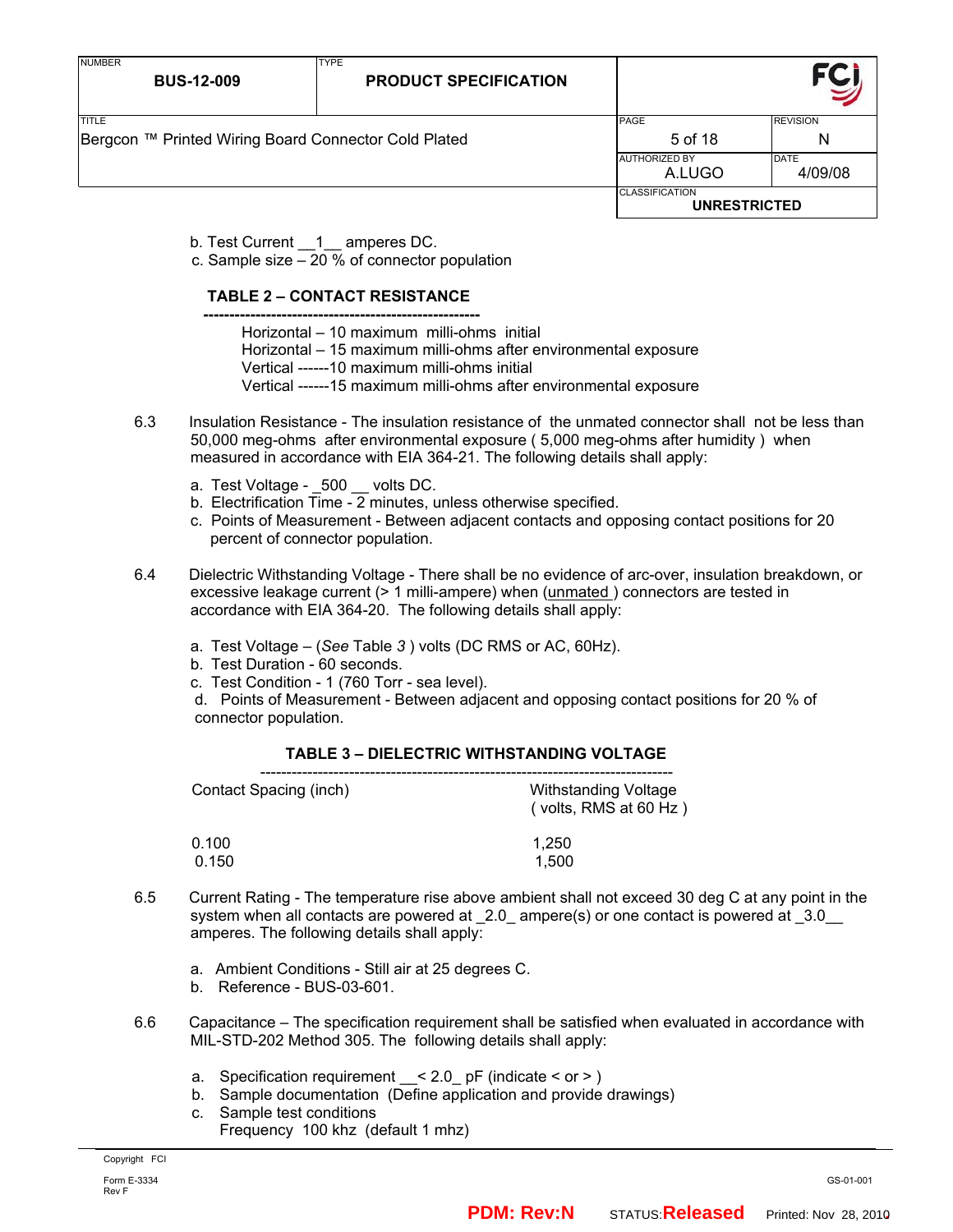| <b>NUMBER</b><br><b>BUS-12-009</b>                            | <b>TYPE</b><br><b>PRODUCT SPECIFICATION</b> |                                              |                        |
|---------------------------------------------------------------|---------------------------------------------|----------------------------------------------|------------------------|
| TITLE<br>Bergcon ™ Printed Wiring Board Connector Cold Plated |                                             | PAGE<br>5 of 18                              | <b>REVISION</b><br>N   |
|                                                               |                                             | <b>AUTHORIZED BY</b><br>A.LUGO               | <b>DATE</b><br>4/09/08 |
|                                                               |                                             | <b>CLASSIFICATION</b><br><b>UNRESTRICTED</b> |                        |

b. Test Current 1 amperes DC.

c. Sample size – 20 % of connector population

### **TABLE 2 – CONTACT RESISTANCE**

- **-----------------------------------------------------**  Horizontal – 10 maximum milli-ohms initial
	- Horizontal 15 maximum milli-ohms after environmental exposure
	- Vertical ------10 maximum milli-ohms initial
	- Vertical ------15 maximum milli-ohms after environmental exposure
	- 6.3 Insulation Resistance The insulation resistance of the unmated connector shall not be less than 50,000 meg-ohms after environmental exposure ( 5,000 meg-ohms after humidity ) when measured in accordance with EIA 364-21. The following details shall apply:
		- a. Test Voltage \_500 \_\_ volts DC.
		- b. Electrification Time 2 minutes, unless otherwise specified.
		- c. Points of Measurement Between adjacent contacts and opposing contact positions for 20 percent of connector population.
	- 6.4 Dielectric Withstanding Voltage There shall be no evidence of arc-over, insulation breakdown, or excessive leakage current (> 1 milli-ampere) when (unmated ) connectors are tested in accordance with EIA 364-20. The following details shall apply:
		- a. Test Voltage (*See* Table *3* ) volts (DC RMS or AC, 60Hz).
		- b. Test Duration 60 seconds.
		- c. Test Condition 1 (760 Torr sea level).

 d. Points of Measurement - Between adjacent and opposing contact positions for 20 % of connector population.

### **TABLE 3 – DIELECTRIC WITHSTANDING VOLTAGE**

| Contact Spacing (inch) | <b>Withstanding Voltage</b><br>$($ volts, RMS at 60 Hz $)$ |
|------------------------|------------------------------------------------------------|
| 0.100                  | 1.250                                                      |
| 0.150                  | 1.500                                                      |

- 6.5 Current Rating The temperature rise above ambient shall not exceed 30 deg C at any point in the system when all contacts are powered at  $2.0$  ampere(s) or one contact is powered at  $3.0$ amperes. The following details shall apply:
	- a. Ambient Conditions Still air at 25 degrees C.
	- b. Reference BUS-03-601.
- 6.6 Capacitance The specification requirement shall be satisfied when evaluated in accordance with MIL-STD-202 Method 305. The following details shall apply:
	- a. Specification requirement  $\leq$  2.0 pF (indicate  $\leq$  or  $\geq$  )
	- b. Sample documentation (Define application and provide drawings)
	- c. Sample test conditions
		- Frequency 100 khz (default 1 mhz)

Copyright FCI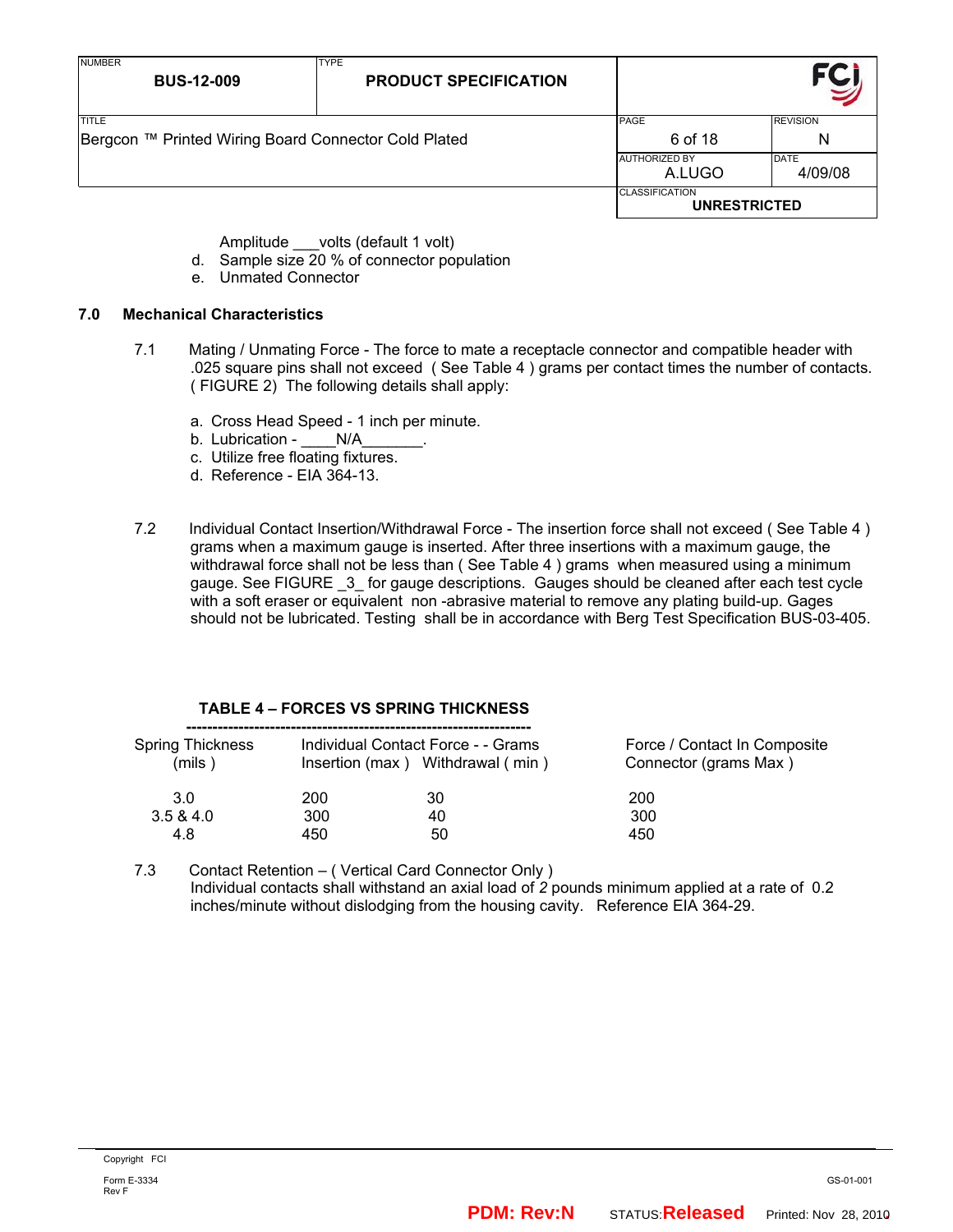| <b>NUMBER</b><br><b>BUS-12-009</b>                                   | <b>TYPE</b><br><b>PRODUCT SPECIFICATION</b> |                                              |                        |
|----------------------------------------------------------------------|---------------------------------------------|----------------------------------------------|------------------------|
| <b>TITLE</b><br>Bergcon ™ Printed Wiring Board Connector Cold Plated |                                             | PAGE<br>6 of 18                              | <b>REVISION</b><br>N   |
|                                                                      |                                             | <b>AUTHORIZED BY</b><br>A.LUGO               | <b>DATE</b><br>4/09/08 |
|                                                                      |                                             | <b>CLASSIFICATION</b><br><b>UNRESTRICTED</b> |                        |

Amplitude volts (default 1 volt)

- d. Sample size 20 % of connector population
- e. Unmated Connector

## **7.0 Mechanical Characteristics**

- 7.1 Mating / Unmating Force The force to mate a receptacle connector and compatible header with .025 square pins shall not exceed ( See Table 4 ) grams per contact times the number of contacts. ( FIGURE 2) The following details shall apply:
	- a. Cross Head Speed 1 inch per minute.
	- b. Lubrication \_\_\_\_\_ N/A
	- c. Utilize free floating fixtures.
	- d. Reference EIA 364-13.
- 7.2 Individual Contact Insertion/Withdrawal Force The insertion force shall not exceed ( See Table 4 ) grams when a maximum gauge is inserted. After three insertions with a maximum gauge, the withdrawal force shall not be less than ( See Table 4 ) grams when measured using a minimum gauge. See FIGURE \_3\_ for gauge descriptions. Gauges should be cleaned after each test cycle with a soft eraser or equivalent non -abrasive material to remove any plating build-up. Gages should not be lubricated. Testing shall be in accordance with Berg Test Specification BUS-03-405.

#### **TABLE 4 – FORCES VS SPRING THICKNESS**

| <b>Spring Thickness</b><br>(mils ) |     | Individual Contact Force - - Grams<br>Insertion (max) Withdrawal (min) | Force / Contact In Composite<br>Connector (grams Max) |
|------------------------------------|-----|------------------------------------------------------------------------|-------------------------------------------------------|
| 3.0                                | 200 | 30                                                                     | 200                                                   |
| 3.5 & 4.0                          | 300 | 40                                                                     | 300                                                   |
| 4.8                                | 450 | 50                                                                     | 450                                                   |
|                                    |     |                                                                        |                                                       |

7.3 Contact Retention – ( Vertical Card Connector Only ) Individual contacts shall withstand an axial load of *2* pounds minimum applied at a rate of 0.2 inches/minute without dislodging from the housing cavity. Reference EIA 364-29.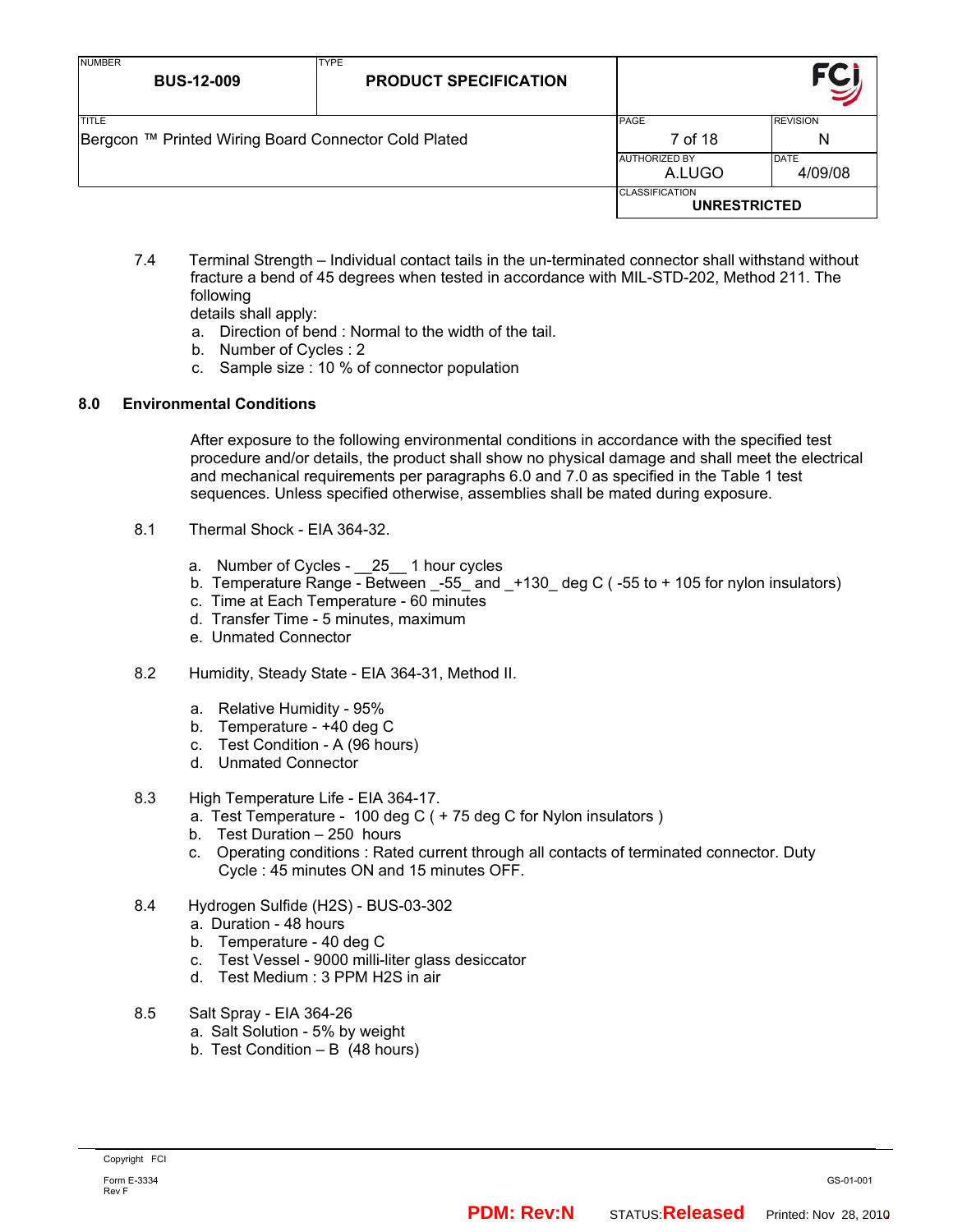| <b>NUMBER</b><br><b>BUS-12-009</b>                                   | <b>TYPE</b><br><b>PRODUCT SPECIFICATION</b> |                                              |                        |
|----------------------------------------------------------------------|---------------------------------------------|----------------------------------------------|------------------------|
| <b>TITLE</b><br>Bergcon ™ Printed Wiring Board Connector Cold Plated |                                             | PAGE<br>7 of 18                              | <b>REVISION</b><br>Ν   |
|                                                                      |                                             | <b>AUTHORIZED BY</b><br>A.LUGO               | <b>DATE</b><br>4/09/08 |
|                                                                      |                                             | <b>CLASSIFICATION</b><br><b>UNRESTRICTED</b> |                        |

7.4 Terminal Strength – Individual contact tails in the un-terminated connector shall withstand without fracture a bend of 45 degrees when tested in accordance with MIL-STD-202, Method 211. The following

details shall apply:

- a. Direction of bend : Normal to the width of the tail.
- b. Number of Cycles : 2
- c. Sample size : 10 % of connector population

## **8.0 Environmental Conditions**

After exposure to the following environmental conditions in accordance with the specified test procedure and/or details, the product shall show no physical damage and shall meet the electrical and mechanical requirements per paragraphs 6.0 and 7.0 as specified in the Table 1 test sequences. Unless specified otherwise, assemblies shall be mated during exposure.

- 8.1 Thermal Shock EIA 364-32.
	- a. Number of Cycles 25 1 hour cycles
	- b. Temperature Range Between  $-55$  and  $+130$  deg C ( $-55$  to + 105 for nylon insulators)
	- c. Time at Each Temperature 60 minutes
	- d. Transfer Time 5 minutes, maximum
	- e. Unmated Connector
- 8.2 Humidity, Steady State EIA 364-31, Method II.
	- a. Relative Humidity 95%
	- b. Temperature +40 deg C
	- c. Test Condition A (96 hours)
	- d. Unmated Connector
- 8.3 High Temperature Life EIA 364-17.
	- a. Test Temperature 100 deg C ( + 75 deg C for Nylon insulators )
	- b. Test Duration 250 hours
	- c. Operating conditions : Rated current through all contacts of terminated connector. Duty Cycle : 45 minutes ON and 15 minutes OFF.
- 8.4 Hydrogen Sulfide (H2S) BUS-03-302
	- a. Duration 48 hours
	- b. Temperature 40 deg C
	- c. Test Vessel 9000 milli-liter glass desiccator
	- d. Test Medium : 3 PPM H2S in air
- 8.5 Salt Spray EIA 364-26
	- a. Salt Solution 5% by weight
	- b. Test Condition B (48 hours)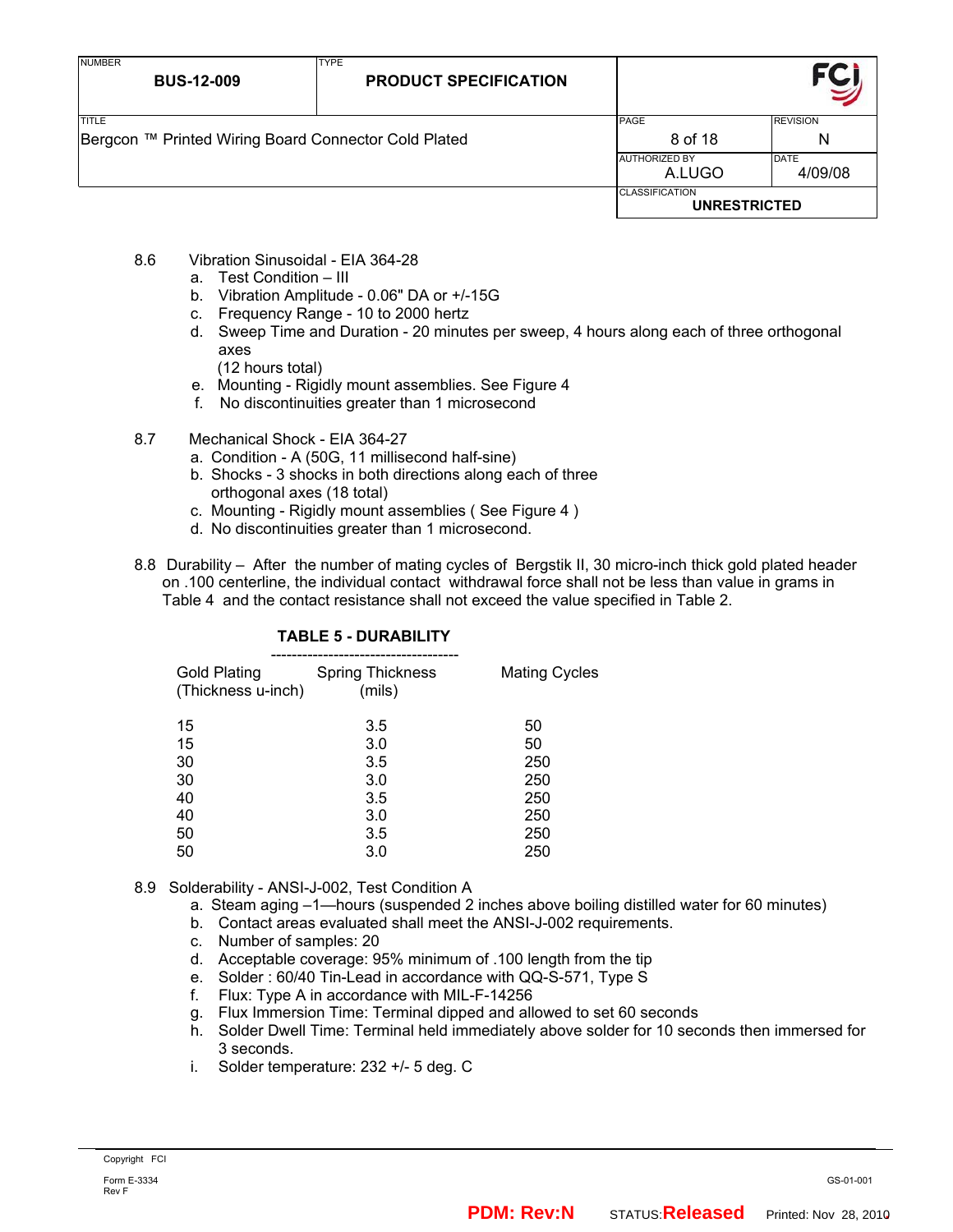| <b>NUMBER</b><br><b>BUS-12-009</b>                                    | <b>TYPE</b><br><b>PRODUCT SPECIFICATION</b> |                                              |                        |
|-----------------------------------------------------------------------|---------------------------------------------|----------------------------------------------|------------------------|
| <b>TITLE</b><br> Bergcon ™ Printed Wiring Board Connector Cold Plated |                                             | PAGE<br>8 of 18                              | <b>REVISION</b><br>N   |
|                                                                       |                                             | <b>AUTHORIZED BY</b><br>A.LUGO               | <b>DATE</b><br>4/09/08 |
|                                                                       |                                             | <b>CLASSIFICATION</b><br><b>UNRESTRICTED</b> |                        |

- 8.6 Vibration Sinusoidal EIA 364-28
	- a. Test Condition III
	- b. Vibration Amplitude 0.06" DA or +/-15G
	- c. Frequency Range 10 to 2000 hertz
	- d. Sweep Time and Duration 20 minutes per sweep, 4 hours along each of three orthogonal axes
		- (12 hours total)
	- e. Mounting Rigidly mount assemblies. See Figure 4
	- f. No discontinuities greater than 1 microsecond
- 8.7 Mechanical Shock EIA 364-27
	- a. Condition A (50G, 11 millisecond half-sine)
	- b. Shocks 3 shocks in both directions along each of three orthogonal axes (18 total)
	- c. Mounting Rigidly mount assemblies ( See Figure 4 )
	- d. No discontinuities greater than 1 microsecond.
- 8.8 Durability After the number of mating cycles of Bergstik II, 30 micro-inch thick gold plated header on .100 centerline, the individual contact withdrawal force shall not be less than value in grams in Table 4 and the contact resistance shall not exceed the value specified in Table 2.

| <b>Spring Thickness</b><br>(Thickness u-inch)<br>(mils) | Mating Cycles |
|---------------------------------------------------------|---------------|
| 3.5                                                     | 50            |
| 3.0                                                     | 50            |
| 3.5                                                     | 250           |
| 3.0                                                     | 250           |
| 3.5                                                     | 250           |
| 3.0                                                     | 250           |
| 3.5                                                     | 250           |
| 3.0                                                     | 250           |
|                                                         |               |

## **TABLE 5 - DURABILITY**

## 8.9 Solderability - ANSI-J-002, Test Condition A

- a. Steam aging –1—hours (suspended 2 inches above boiling distilled water for 60 minutes)
- b. Contact areas evaluated shall meet the ANSI-J-002 requirements.
- c. Number of samples: 20
- d. Acceptable coverage: 95% minimum of .100 length from the tip
- e. Solder : 60/40 Tin-Lead in accordance with QQ-S-571, Type S
- f. Flux: Type A in accordance with MIL-F-14256
- g. Flux Immersion Time: Terminal dipped and allowed to set 60 seconds
- h. Solder Dwell Time: Terminal held immediately above solder for 10 seconds then immersed for 3 seconds.
- i. Solder temperature: 232 +/- 5 deg. C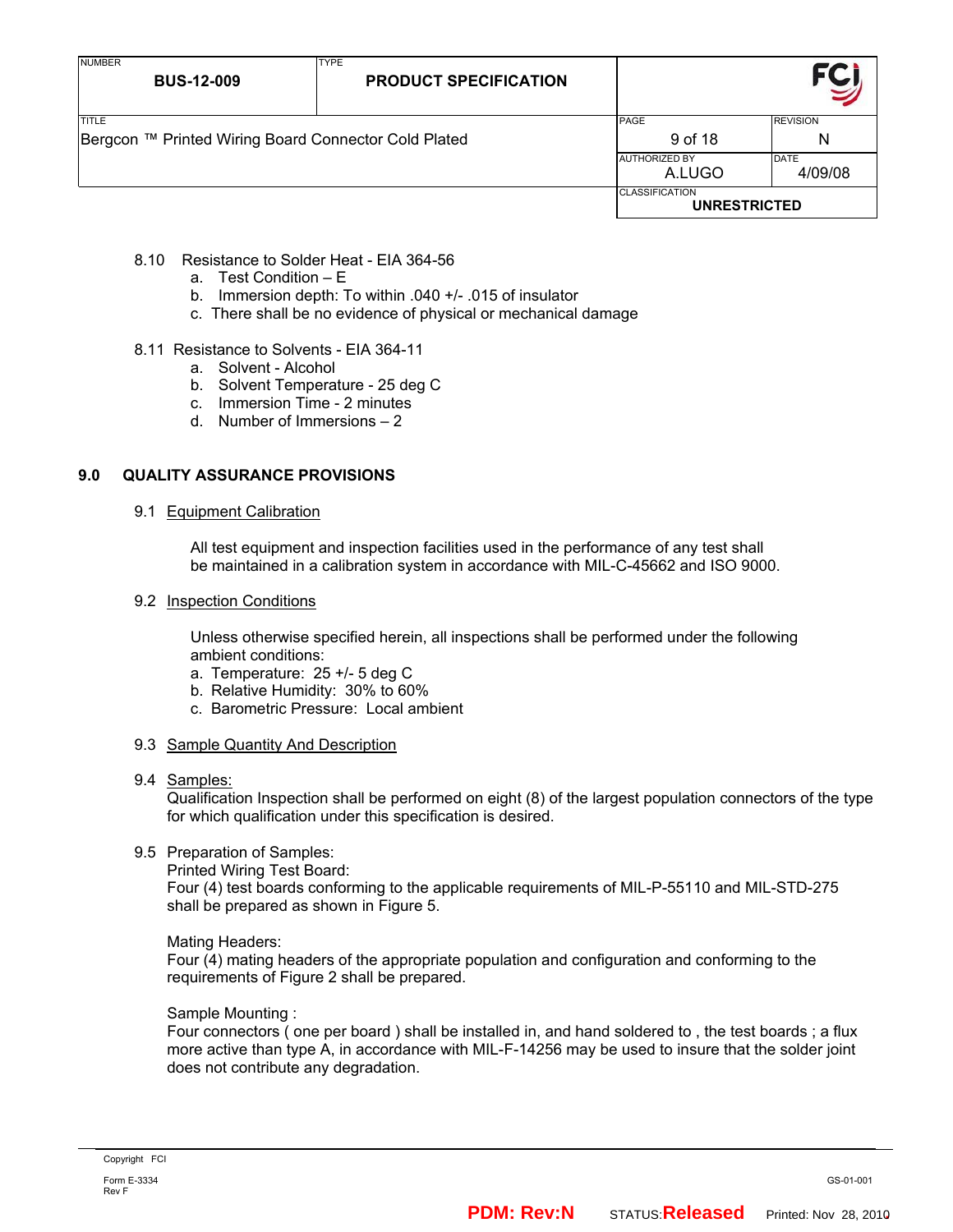| NUMBER<br><b>BUS-12-009</b>                                          | <b>TYPE</b><br><b>PRODUCT SPECIFICATION</b> |                                              |  |
|----------------------------------------------------------------------|---------------------------------------------|----------------------------------------------|--|
| <b>TITLE</b><br>Bergcon ™ Printed Wiring Board Connector Cold Plated | PAGE<br>9 of 18                             | <b>REVISION</b><br>N                         |  |
|                                                                      | <b>AUTHORIZED BY</b><br>A.LUGO              | <b>DATE</b><br>4/09/08                       |  |
|                                                                      |                                             | <b>CLASSIFICATION</b><br><b>UNRESTRICTED</b> |  |

- 8.10 Resistance to Solder Heat EIA 364-56
	- a. Test Condition E
	- b. Immersion depth: To within .040 +/- .015 of insulator
	- c. There shall be no evidence of physical or mechanical damage

#### 8.11 Resistance to Solvents - EIA 364-11

- a. Solvent Alcohol
- b. Solvent Temperature 25 deg C
- c. Immersion Time 2 minutes
- d. Number of Immersions 2

## **9.0 QUALITY ASSURANCE PROVISIONS**

#### 9.1 Equipment Calibration

All test equipment and inspection facilities used in the performance of any test shall be maintained in a calibration system in accordance with MIL-C-45662 and ISO 9000.

#### 9.2 Inspection Conditions

Unless otherwise specified herein, all inspections shall be performed under the following ambient conditions:

- a. Temperature: 25 +/- 5 deg C
- b. Relative Humidity: 30% to 60%
- c. Barometric Pressure: Local ambient
- 9.3 Sample Quantity And Description
- 9.4 Samples:

Qualification Inspection shall be performed on eight (8) of the largest population connectors of the type for which qualification under this specification is desired.

### 9.5 Preparation of Samples:

Printed Wiring Test Board:

Four (4) test boards conforming to the applicable requirements of MIL-P-55110 and MIL-STD-275 shall be prepared as shown in Figure 5.

Mating Headers:

Four (4) mating headers of the appropriate population and configuration and conforming to the requirements of Figure 2 shall be prepared.

#### Sample Mounting :

Four connectors ( one per board ) shall be installed in, and hand soldered to , the test boards ; a flux more active than type A, in accordance with MIL-F-14256 may be used to insure that the solder joint does not contribute any degradation.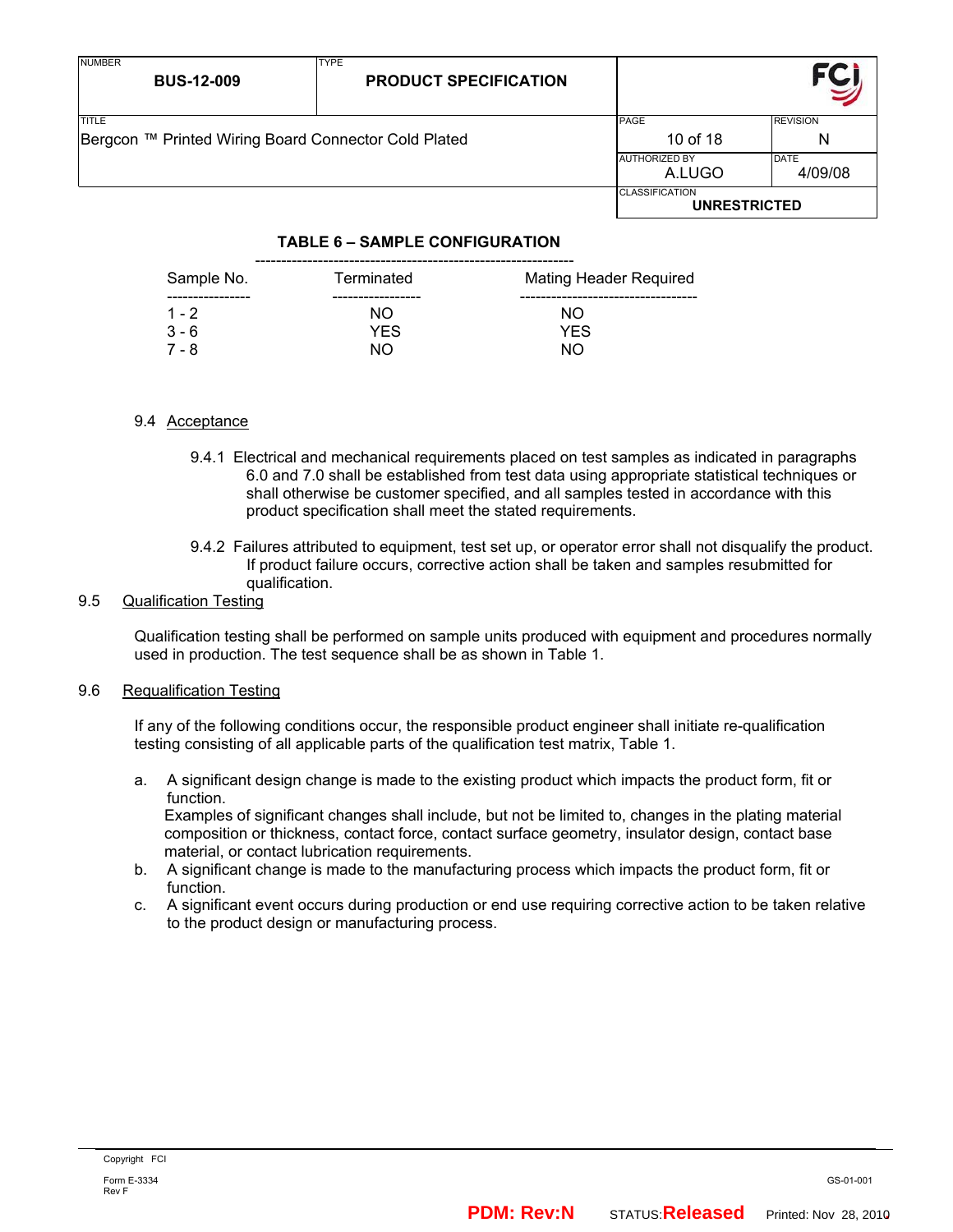| <b>NUMBER</b><br><b>BUS-12-009</b>                   | <b>TYPE</b><br><b>PRODUCT SPECIFICATION</b> |                                              |                 |
|------------------------------------------------------|---------------------------------------------|----------------------------------------------|-----------------|
| <b>TITLE</b>                                         |                                             | PAGE                                         | <b>REVISION</b> |
| Bergcon ™ Printed Wiring Board Connector Cold Plated | 10 of 18                                    | Ν                                            |                 |
|                                                      |                                             | <b>AUTHORIZED BY</b>                         | <b>DATE</b>     |
|                                                      |                                             | A.LUGO                                       | 4/09/08         |
|                                                      |                                             | <b>CLASSIFICATION</b><br><b>UNRESTRICTED</b> |                 |

## **TABLE 6 – SAMPLE CONFIGURATION**

| Sample No.         | Terminated        | <b>Mating Header Required</b> |
|--------------------|-------------------|-------------------------------|
| $1 - 2$<br>$3 - 6$ | NO.<br><b>YES</b> | NO.<br><b>YES</b>             |
| 7 - 8              | NO.               | NΟ                            |

#### 9.4 Acceptance

- 9.4.1 Electrical and mechanical requirements placed on test samples as indicated in paragraphs 6.0 and 7.0 shall be established from test data using appropriate statistical techniques or shall otherwise be customer specified, and all samples tested in accordance with this product specification shall meet the stated requirements.
- 9.4.2 Failures attributed to equipment, test set up, or operator error shall not disqualify the product. If product failure occurs, corrective action shall be taken and samples resubmitted for qualification.

## 9.5 Qualification Testing

Qualification testing shall be performed on sample units produced with equipment and procedures normally used in production. The test sequence shall be as shown in Table 1.

#### 9.6 Requalification Testing

If any of the following conditions occur, the responsible product engineer shall initiate re-qualification testing consisting of all applicable parts of the qualification test matrix, Table 1.

a. A significant design change is made to the existing product which impacts the product form, fit or function.

 Examples of significant changes shall include, but not be limited to, changes in the plating material composition or thickness, contact force, contact surface geometry, insulator design, contact base material, or contact lubrication requirements.

- b. A significant change is made to the manufacturing process which impacts the product form, fit or function.
- c. A significant event occurs during production or end use requiring corrective action to be taken relative to the product design or manufacturing process.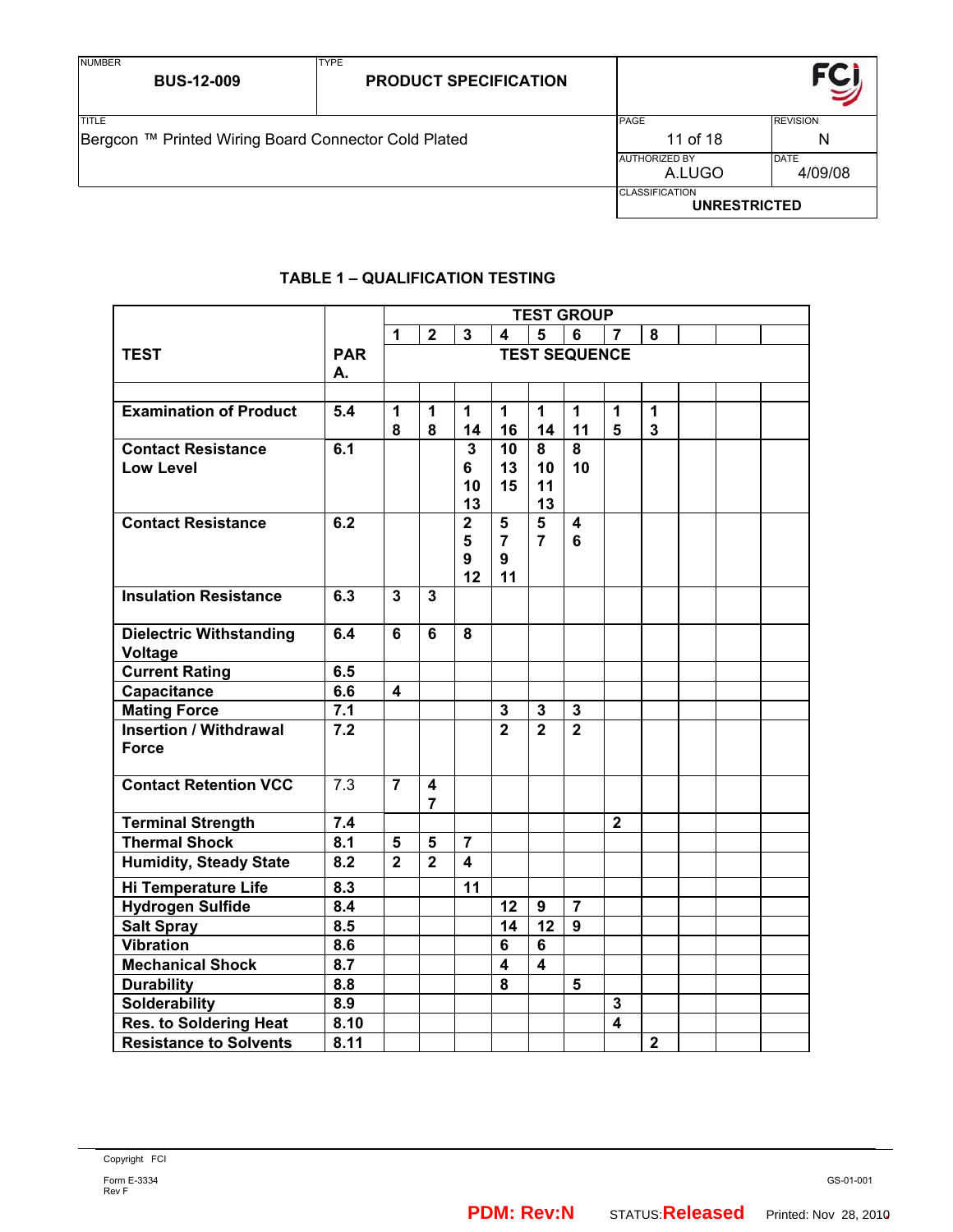TYPE

| TITLE                                                | PAGE                                         | <b>REVISION</b>        |
|------------------------------------------------------|----------------------------------------------|------------------------|
| Bergcon ™ Printed Wiring Board Connector Cold Plated | 11 of 18                                     | N                      |
|                                                      | <b>AUTHORIZED BY</b><br>A.LUGO               | <b>DATE</b><br>4/09/08 |
|                                                      | <b>CLASSIFICATION</b><br><b>UNRESTRICTED</b> |                        |

## **TABLE 1 – QUALIFICATION TESTING**

|                                       |                           | <b>TEST GROUP</b>       |                     |                         |                         |                         |                         |                                        |                |  |  |
|---------------------------------------|---------------------------|-------------------------|---------------------|-------------------------|-------------------------|-------------------------|-------------------------|----------------------------------------|----------------|--|--|
|                                       |                           | 1                       | $\overline{2}$      | $\mathbf{3}$            | 4                       | 5                       | 6                       | $\overline{7}$                         | 8              |  |  |
| <b>TEST</b>                           | <b>PAR</b>                |                         |                     |                         |                         |                         | <b>TEST SEQUENCE</b>    |                                        |                |  |  |
|                                       | А.                        |                         |                     |                         |                         |                         |                         |                                        |                |  |  |
|                                       |                           |                         |                     |                         |                         |                         |                         |                                        |                |  |  |
| <b>Examination of Product</b>         | 5.4                       | 1                       | 1                   | 1                       | 1                       | 1                       | 1                       | 1                                      | 1              |  |  |
|                                       |                           | 8                       | 8                   | 14                      | 16                      | 14                      | 11                      | 5                                      | 3              |  |  |
| <b>Contact Resistance</b>             | 6.1                       |                         |                     | 3                       | 10                      | 8                       | 8                       |                                        |                |  |  |
| <b>Low Level</b>                      |                           |                         |                     | 6<br>10                 | 13<br>15                | 10<br>11                | 10                      |                                        |                |  |  |
|                                       |                           |                         |                     | 13                      |                         | 13                      |                         |                                        |                |  |  |
| <b>Contact Resistance</b>             | 6.2                       |                         |                     | $\mathbf 2$             | 5                       | 5                       | $\overline{\mathbf{4}}$ |                                        |                |  |  |
|                                       |                           |                         |                     | 5                       | $\overline{\mathbf{r}}$ | $\overline{7}$          | 6                       |                                        |                |  |  |
|                                       |                           |                         |                     | 9                       | 9                       |                         |                         |                                        |                |  |  |
|                                       |                           |                         |                     | 12                      | 11                      |                         |                         |                                        |                |  |  |
| <b>Insulation Resistance</b>          | 6.3                       | $\overline{3}$          | $\overline{3}$      |                         |                         |                         |                         |                                        |                |  |  |
|                                       |                           |                         |                     |                         |                         |                         |                         |                                        |                |  |  |
| <b>Dielectric Withstanding</b>        | 6.4                       | 6                       | $6\phantom{1}$      | 8                       |                         |                         |                         |                                        |                |  |  |
| Voltage                               |                           |                         |                     |                         |                         |                         |                         |                                        |                |  |  |
| <b>Current Rating</b>                 | 6.5                       |                         |                     |                         |                         |                         |                         |                                        |                |  |  |
| Capacitance                           | 6.6                       | $\overline{\mathbf{4}}$ |                     |                         |                         |                         |                         |                                        |                |  |  |
| <b>Mating Force</b>                   | 7.1                       |                         |                     |                         | $\mathbf 3$             | 3                       | $\mathbf 3$             |                                        |                |  |  |
| <b>Insertion / Withdrawal</b>         | 7.2                       |                         |                     |                         | $\overline{2}$          | $\overline{2}$          | $\overline{2}$          |                                        |                |  |  |
| <b>Force</b>                          |                           |                         |                     |                         |                         |                         |                         |                                        |                |  |  |
| <b>Contact Retention VCC</b>          | $\overline{7.3}$          | $\overline{7}$          |                     |                         |                         |                         |                         |                                        |                |  |  |
|                                       |                           |                         | 4<br>$\overline{7}$ |                         |                         |                         |                         |                                        |                |  |  |
| <b>Terminal Strength</b>              | 7.4                       |                         |                     |                         |                         |                         |                         | $\overline{2}$                         |                |  |  |
| <b>Thermal Shock</b>                  | 8.1                       | 5                       | 5                   | $\overline{7}$          |                         |                         |                         |                                        |                |  |  |
| <b>Humidity, Steady State</b>         | 8.2                       | $\overline{2}$          | $\overline{2}$      | $\overline{\mathbf{4}}$ |                         |                         |                         |                                        |                |  |  |
|                                       |                           |                         |                     |                         |                         |                         |                         |                                        |                |  |  |
| Hi Temperature Life                   | 8.3                       |                         |                     | 11                      |                         |                         |                         |                                        |                |  |  |
| <b>Hydrogen Sulfide</b>               | 8.4<br>8.5                |                         |                     |                         | 12<br>14                | 9<br>12                 | $\overline{7}$<br>9     |                                        |                |  |  |
| <b>Salt Spray</b><br><b>Vibration</b> | $\overline{\mathbf{8.6}}$ |                         |                     |                         | 6                       | 6                       |                         |                                        |                |  |  |
|                                       | 8.7                       |                         |                     |                         |                         |                         |                         |                                        |                |  |  |
| <b>Mechanical Shock</b>               |                           |                         |                     |                         | 4                       | $\overline{\mathbf{4}}$ |                         |                                        |                |  |  |
| <b>Durability</b>                     | 8.8                       |                         |                     |                         | 8                       |                         | 5                       |                                        |                |  |  |
| <b>Solderability</b>                  | 8.9                       |                         |                     |                         |                         |                         |                         | $\mathbf 3$<br>$\overline{\mathbf{4}}$ |                |  |  |
| <b>Res. to Soldering Heat</b>         | 8.10                      |                         |                     |                         |                         |                         |                         |                                        |                |  |  |
| <b>Resistance to Solvents</b>         | 8.11                      |                         |                     |                         |                         |                         |                         |                                        | $\overline{2}$ |  |  |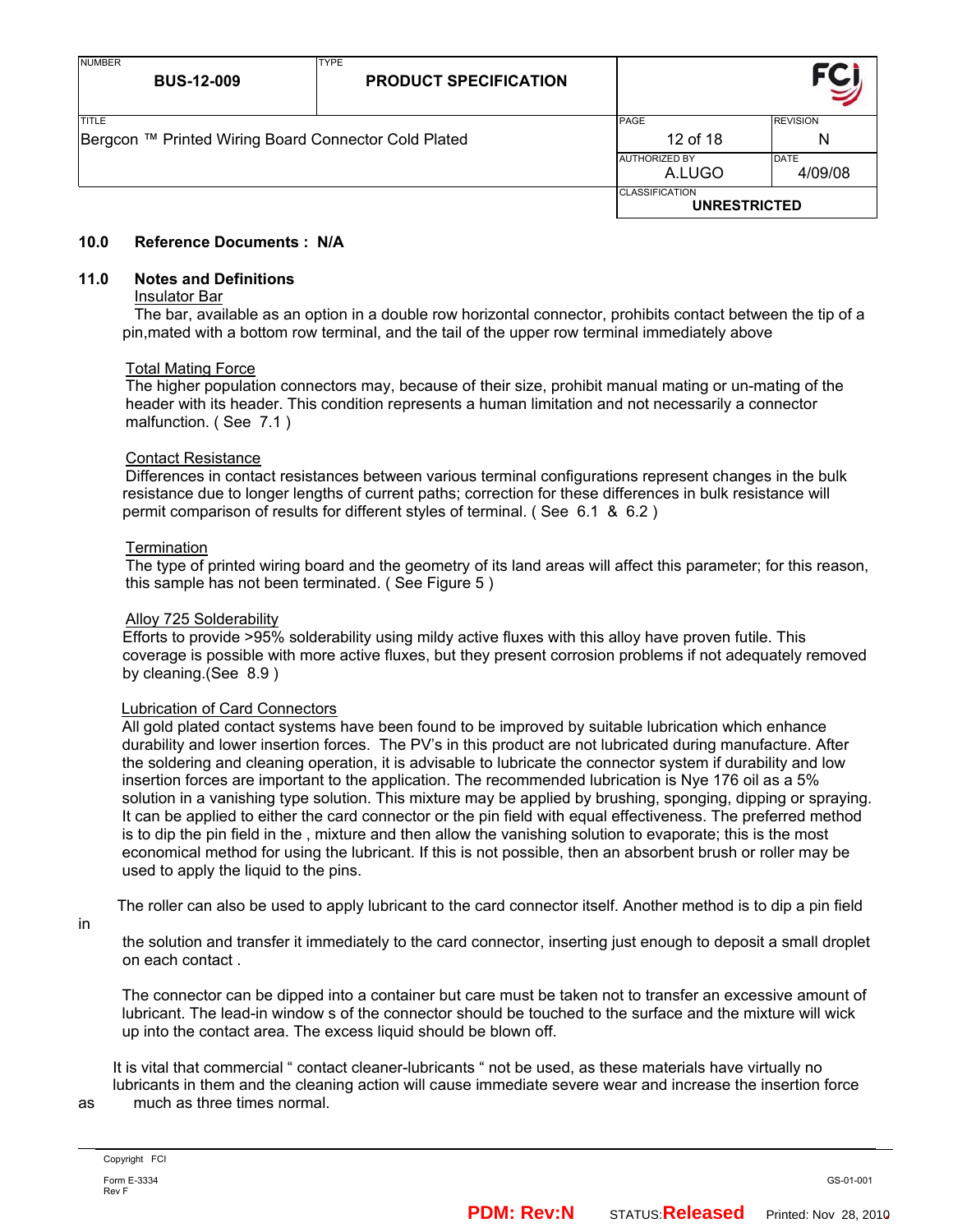| <b>NUMBER</b><br><b>BUS-12-009</b>                   | <b>TYPE</b><br><b>PRODUCT SPECIFICATION</b> |                                              |                 |
|------------------------------------------------------|---------------------------------------------|----------------------------------------------|-----------------|
| <b>TITLE</b>                                         |                                             | PAGE                                         | <b>REVISION</b> |
| Bergcon ™ Printed Wiring Board Connector Cold Plated | 12 of 18                                    | N                                            |                 |
|                                                      |                                             | <b>AUTHORIZED BY</b>                         | DATE            |
|                                                      |                                             | A.LUGO                                       | 4/09/08         |
|                                                      |                                             | <b>CLASSIFICATION</b><br><b>UNRESTRICTED</b> |                 |

#### **10.0 Reference Documents : N/A**

#### **11.0 Notes and Definitions**

#### Insulator Bar

 The bar, available as an option in a double row horizontal connector, prohibits contact between the tip of a pin,mated with a bottom row terminal, and the tail of the upper row terminal immediately above

#### Total Mating Force

 The higher population connectors may, because of their size, prohibit manual mating or un-mating of the header with its header. This condition represents a human limitation and not necessarily a connector malfunction. (See 7.1)

#### Contact Resistance

 Differences in contact resistances between various terminal configurations represent changes in the bulk resistance due to longer lengths of current paths; correction for these differences in bulk resistance will permit comparison of results for different styles of terminal. ( See 6.1 & 6.2 )

#### **Termination**

 The type of printed wiring board and the geometry of its land areas will affect this parameter; for this reason, this sample has not been terminated. ( See Figure 5 )

#### Alloy 725 Solderability

Efforts to provide >95% solderability using mildy active fluxes with this alloy have proven futile. This coverage is possible with more active fluxes, but they present corrosion problems if not adequately removed by cleaning.(See 8.9 )

#### Lubrication of Card Connectors

All gold plated contact systems have been found to be improved by suitable lubrication which enhance durability and lower insertion forces. The PV's in this product are not lubricated during manufacture. After the soldering and cleaning operation, it is advisable to lubricate the connector system if durability and low insertion forces are important to the application. The recommended lubrication is Nye 176 oil as a 5% solution in a vanishing type solution. This mixture may be applied by brushing, sponging, dipping or spraying. It can be applied to either the card connector or the pin field with equal effectiveness. The preferred method is to dip the pin field in the , mixture and then allow the vanishing solution to evaporate; this is the most economical method for using the lubricant. If this is not possible, then an absorbent brush or roller may be used to apply the liquid to the pins.

The roller can also be used to apply lubricant to the card connector itself. Another method is to dip a pin field

in

the solution and transfer it immediately to the card connector, inserting just enough to deposit a small droplet on each contact .

The connector can be dipped into a container but care must be taken not to transfer an excessive amount of lubricant. The lead-in window s of the connector should be touched to the surface and the mixture will wick up into the contact area. The excess liquid should be blown off.

 It is vital that commercial " contact cleaner-lubricants " not be used, as these materials have virtually no lubricants in them and the cleaning action will cause immediate severe wear and increase the insertion force as much as three times normal.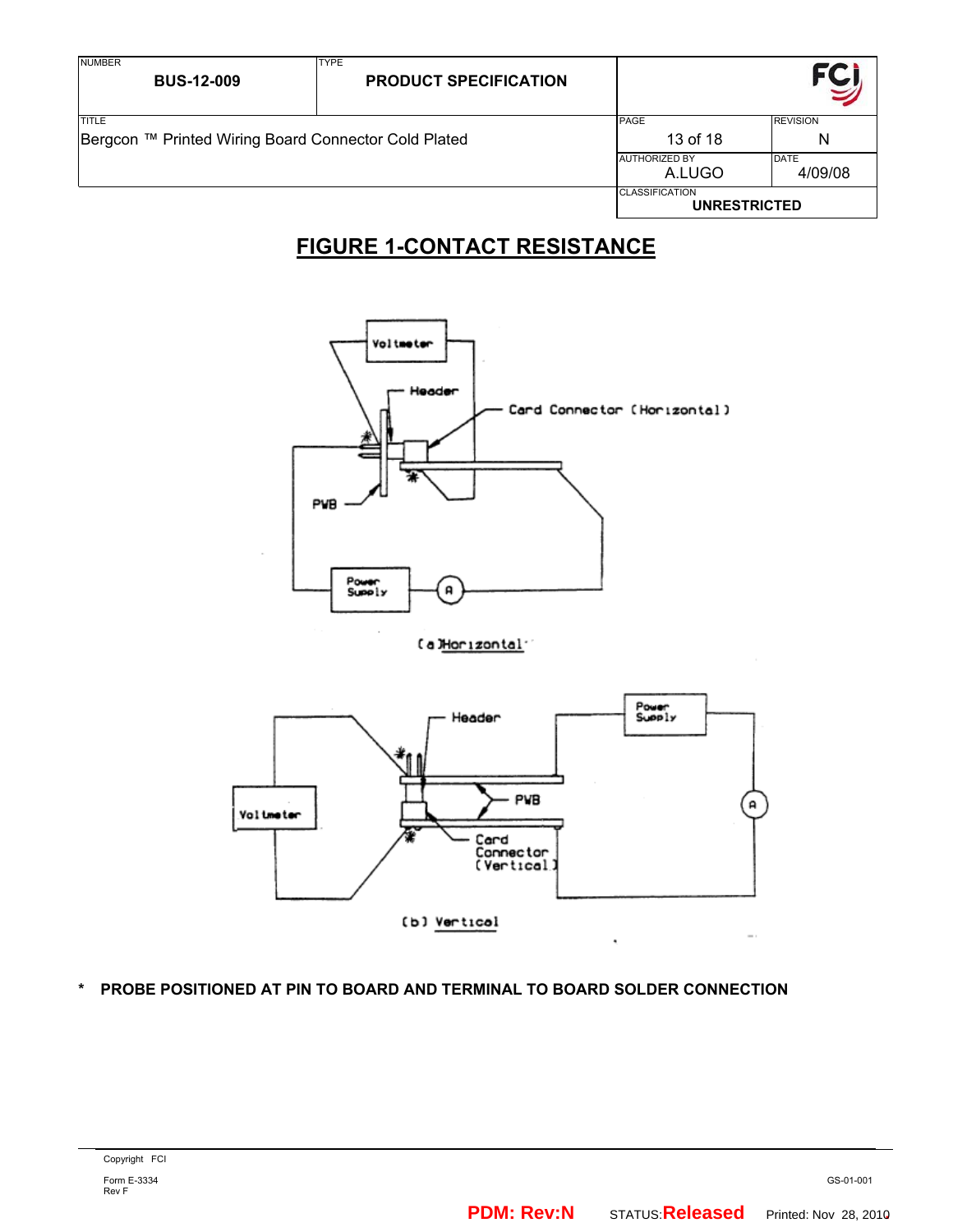| <b>NUMBER</b><br><b>BUS-12-009</b>                                   | <b>TYPE</b><br><b>PRODUCT SPECIFICATION</b> |                                              |                        |
|----------------------------------------------------------------------|---------------------------------------------|----------------------------------------------|------------------------|
| <b>TITLE</b><br>Bergcon ™ Printed Wiring Board Connector Cold Plated |                                             | <b>PAGE</b><br>13 of 18                      | <b>REVISION</b><br>N   |
|                                                                      | <b>AUTHORIZED BY</b><br>A.LUGO              |                                              | <b>DATE</b><br>4/09/08 |
|                                                                      |                                             | <b>CLASSIFICATION</b><br><b>UNRESTRICTED</b> |                        |

# **FIGURE 1-CONTACT RESISTANCE**



## [a]Horizontal



**\* PROBE POSITIONED AT PIN TO BOARD AND TERMINAL TO BOARD SOLDER CONNECTION**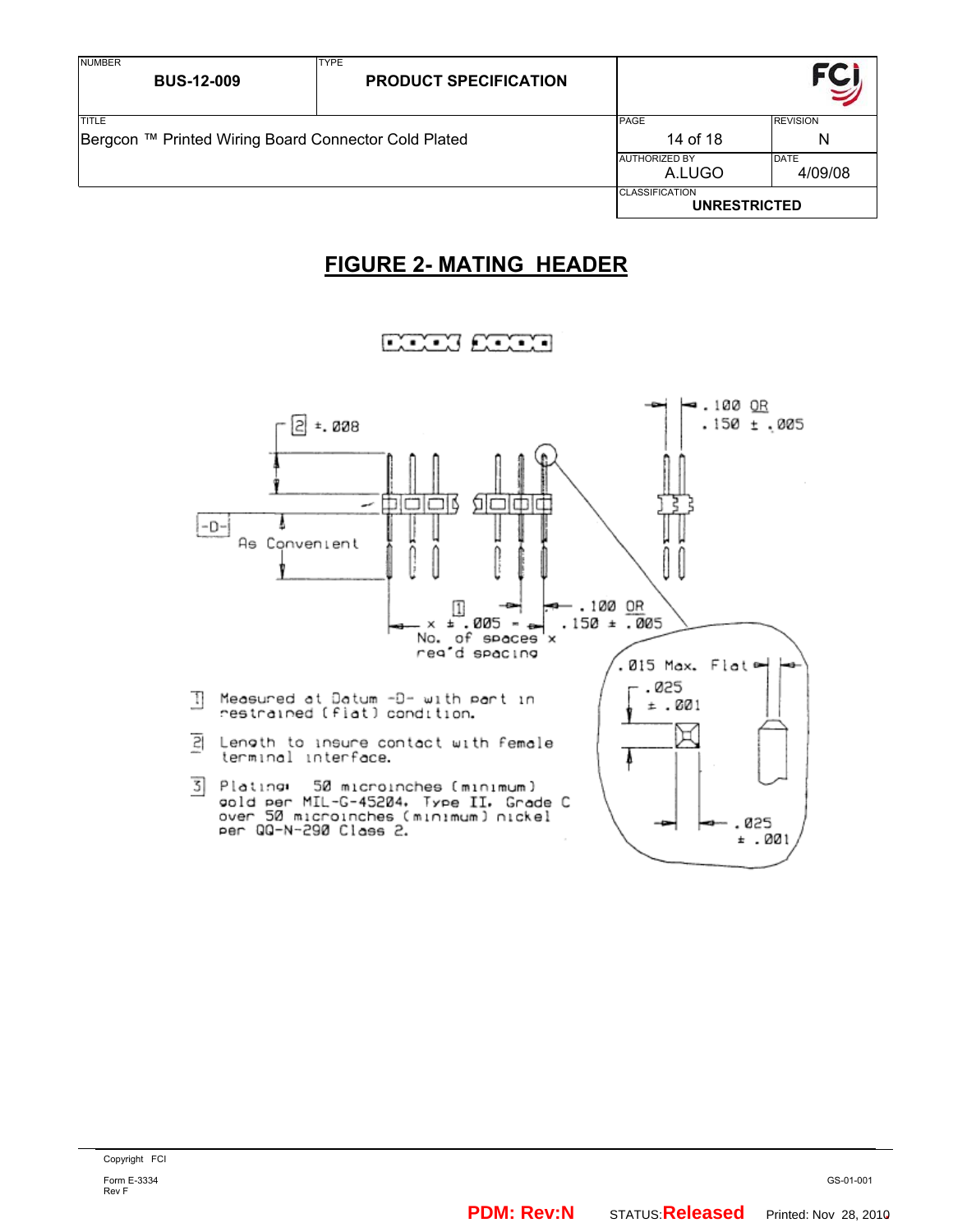| <b>NUMBER</b><br><b>BUS-12-009</b>                                   | <b>TYPE</b><br><b>PRODUCT SPECIFICATION</b> |                                              |                        |
|----------------------------------------------------------------------|---------------------------------------------|----------------------------------------------|------------------------|
| <b>TITLE</b><br>Bergcon ™ Printed Wiring Board Connector Cold Plated |                                             | PAGE<br>14 of 18                             | <b>REVISION</b><br>N   |
|                                                                      |                                             | <b>JAUTHORIZED BY</b><br>A.LUGO              | <b>DATE</b><br>4/09/08 |
|                                                                      |                                             | <b>CLASSIFICATION</b><br><b>UNRESTRICTED</b> |                        |

# **FIGURE 2- MATING HEADER**



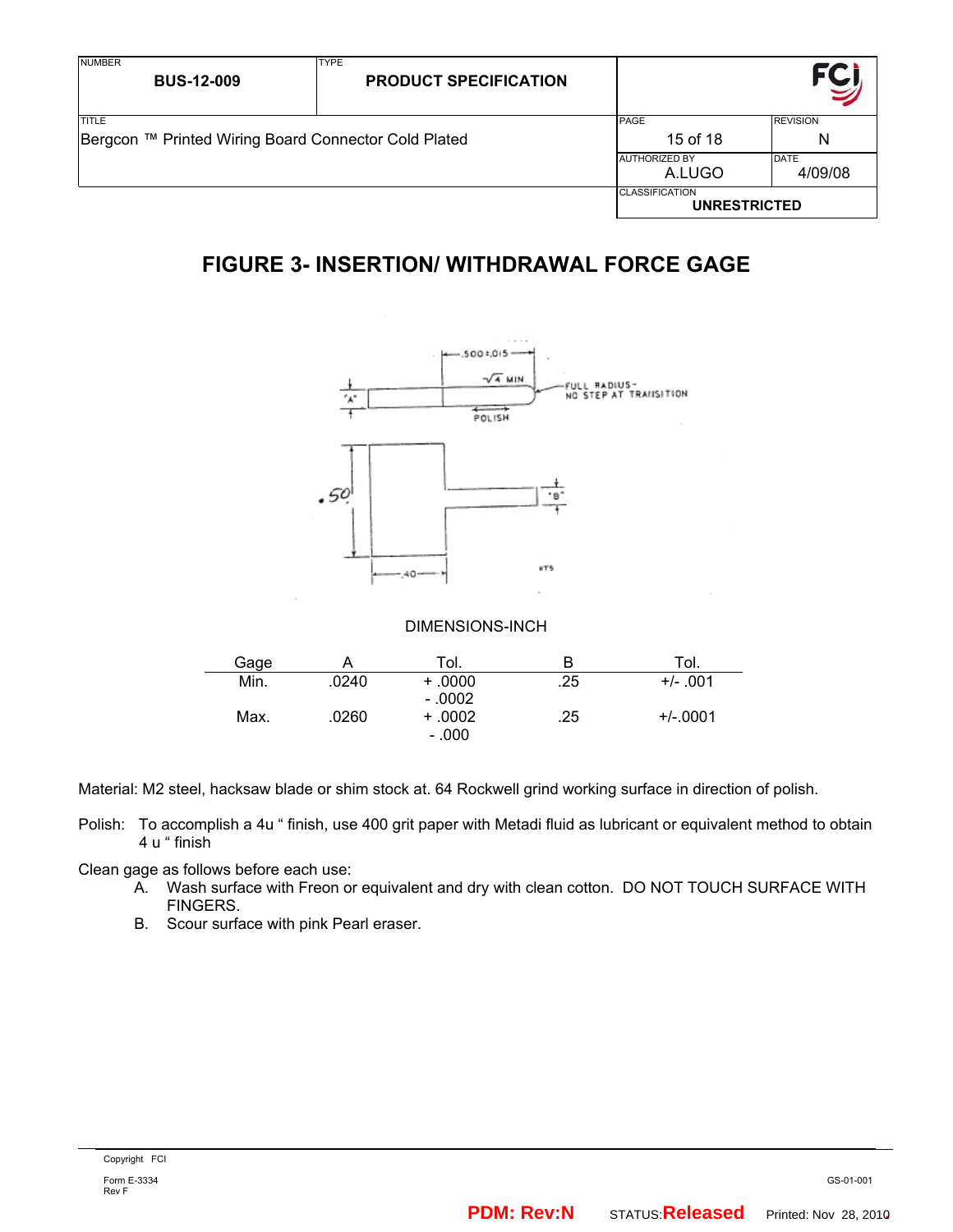| <b>NUMBER</b><br><b>BUS-12-009</b>                   | <b>TYPE</b><br><b>PRODUCT SPECIFICATION</b> |                                              |         |
|------------------------------------------------------|---------------------------------------------|----------------------------------------------|---------|
| <b>ITITLE</b>                                        | PAGE                                        | <b>REVISION</b>                              |         |
| Bergcon ™ Printed Wiring Board Connector Cold Plated | 15 of 18                                    | N                                            |         |
|                                                      | <b>AUTHORIZED BY</b>                        | DATE                                         |         |
|                                                      |                                             | A.LUGO                                       | 4/09/08 |
|                                                      |                                             | <b>CLASSIFICATION</b><br><b>UNRESTRICTED</b> |         |

# **FIGURE 3- INSERTION/ WITHDRAWAL FORCE GAGE**



## DIMENSIONS-INCH

| Gage | Α     | Tol.     | В   | Tol.       |
|------|-------|----------|-----|------------|
| Min. | .0240 | $+0000$  | .25 | $+/- .001$ |
|      |       | $-.0002$ |     |            |
| Max. | .0260 | $+.0002$ | .25 | $+/-0001$  |
|      |       | $-.000$  |     |            |

Material: M2 steel, hacksaw blade or shim stock at. 64 Rockwell grind working surface in direction of polish.

- Polish: To accomplish a 4u " finish, use 400 grit paper with Metadi fluid as lubricant or equivalent method to obtain 4 u " finish
- Clean gage as follows before each use:
	- A. Wash surface with Freon or equivalent and dry with clean cotton. DO NOT TOUCH SURFACE WITH FINGERS.
	- B. Scour surface with pink Pearl eraser.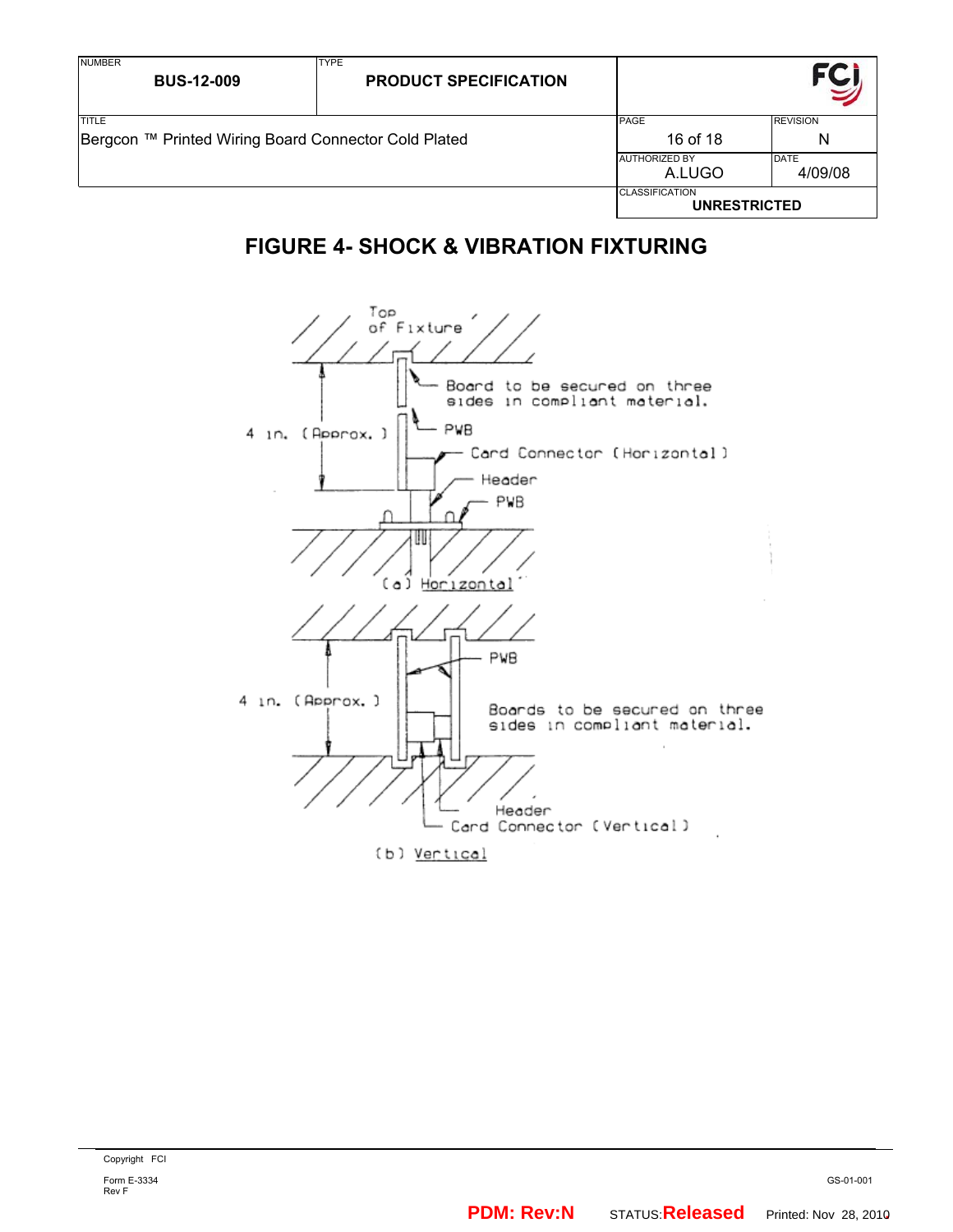| <b>NUMBER</b><br><b>BUS-12-009</b>                                   | <b>TYPE</b><br><b>PRODUCT SPECIFICATION</b> |                                              |                        |
|----------------------------------------------------------------------|---------------------------------------------|----------------------------------------------|------------------------|
| <b>TITLE</b><br>Bergcon ™ Printed Wiring Board Connector Cold Plated |                                             | PAGE<br>16 of 18                             | <b>REVISION</b><br>N   |
|                                                                      |                                             | <b>AUTHORIZED BY</b><br>A.LUGO               | <b>DATE</b><br>4/09/08 |
|                                                                      |                                             | <b>CLASSIFICATION</b><br><b>UNRESTRICTED</b> |                        |

# **FIGURE 4- SHOCK & VIBRATION FIXTURING**

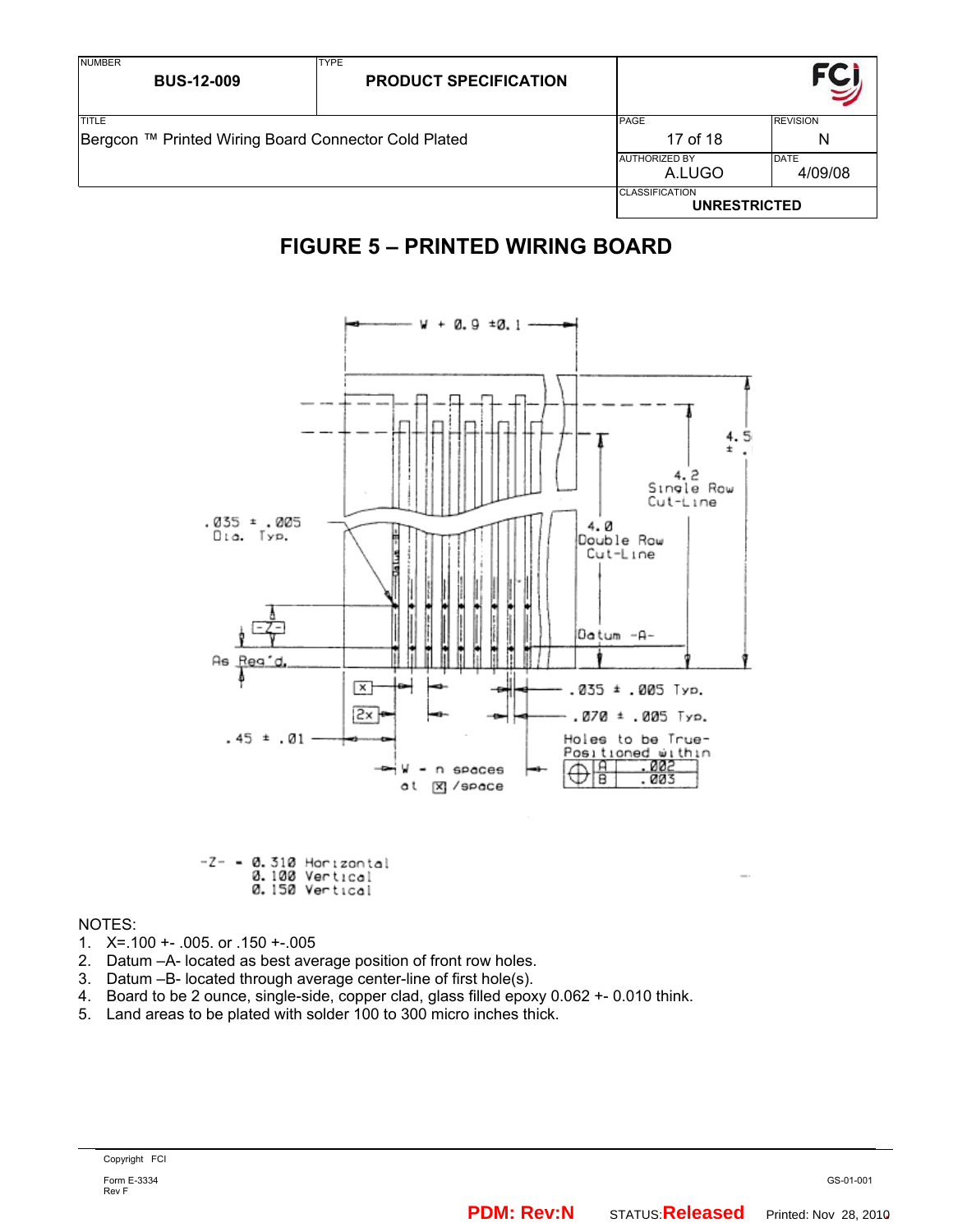| <b>NUMBER</b><br><b>BUS-12-009</b>                   | <b>TYPE</b><br><b>PRODUCT SPECIFICATION</b> |                                              |                 |
|------------------------------------------------------|---------------------------------------------|----------------------------------------------|-----------------|
| <b>TITLE</b>                                         |                                             | PAGE                                         | <b>REVISION</b> |
| Bergcon ™ Printed Wiring Board Connector Cold Plated |                                             | 17 of 18                                     | N               |
|                                                      |                                             | <b>AUTHORIZED BY</b>                         | DATE            |
|                                                      |                                             | A.LUGO                                       | 4/09/08         |
|                                                      |                                             | <b>CLASSIFICATION</b><br><b>UNRESTRICTED</b> |                 |

# **FIGURE 5 – PRINTED WIRING BOARD**



-Z- = 0.310 Horizontal<br>0.100 Vertical<br>0.150 Vertical

NOTES:

- 1. X=.100 +- .005. or .150 +-.005
- 2. Datum –A- located as best average position of front row holes.
- 3. Datum –B- located through average center-line of first hole(s).
- 4. Board to be 2 ounce, single-side, copper clad, glass filled epoxy 0.062 +- 0.010 think.
- 5. Land areas to be plated with solder 100 to 300 micro inches thick.